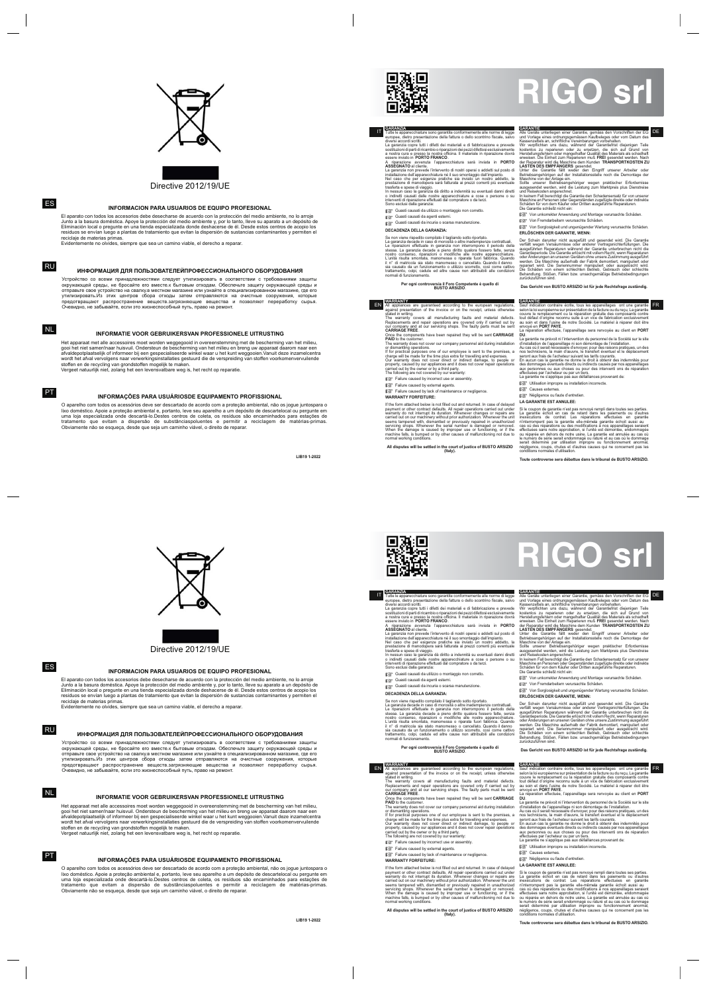

## Directive 2012/19/UE

## ES

RU

## NL

PT

Устройство со всеми принадлежностями следует утилизировать в соответствии с требованиями защиты<br>окружающей среды, не бросайте его вместе.к бытовым отходам. Обеспечьте защиту окружающей среды и отправьте свое устройство на свалку.в местном магазине или узнайте в специализированном магазине, где его утилизировать.Из этих центров сбора отходы затем отправляются на очистные сооружения, которые<br>предотвращают распространение веществ.загрязняющие вещества и позволяют переработку сырья. Очевидно, не забывайте, если это жизнеспособный путь, право на ремонт.

Het apparaat met alle accessoires moet worden weggegooid in overeenstemming met de bescherming van het milieu, gooi het niet samen!naar huisvuil. Ondersteun de bescherming van het milieu en breng uw apparaat daarom naar een afvaldepotplaatselijk of informeer bij een gespecialiseerde winkel waar u het kunt weggooien.Vanuit deze inzamelcentra wordt het afval vervolgens naar verwerkingsinstallaties gestuurd die de verspreiding van stoffen voorkomenvervuilende<br>stoffen en de recycling van grondstoffen mogelijk te maken.<br>Vergeet natuurlijk niet, zolang het een leve

O aparelho com todos os acessórios deve ser descartado de acordo com a proteção ambiental, não os jogue juntospara o lixo doméstico. Apoie a proteção ambiental e, portanto, leve seu aparelho a um depósito de descartelocal ou pergunte em<br>uma loja especializada onde descartá-lo.Destes centros de coleta, os resíduos são encaminhados para es tratamento que evitam a dispersão de substânciaspoluentes e permitir a reciclagem de matérias-primas. Obviamente não se esqueça, desde que seja um caminho viável, o direito de reparar.

**LIB19 1-2022**



#### **INFORMACION PARA USUARIOS DE EQUIPO PROFESIONAL**

## **ИНФОРМАЦИЯ ДЛЯ ПОЛЬЗОВАТЕЛЕЙПРОФЕССИОНАЛЬНОГО ОБОРУДОВАНИЯ**

Von unkorrekter Anwendung und Montage verursachte Schäden. **IS** Von Fremdarbeitern verursachte Schäden.

#### **INFORMATIE VOOR GEBRUIKERSVAN PROFESSIONELE UITRUSTING**

#### **INFORMAÇÕES PARA USUÁRIOSDE EQUIPAMENTO PROFISSIONAL**

El aparato con todos los accesorios debe desecharse de acuerdo con la protección del medio ambiente, no lo arroje Junto a la basura doméstica. Apoye la protección del medio ambiente y, por lo tanto, lleve su aparato a un depósito de<br>Eliminación local o pregunte en una tienda especializada donde deshacerse de él. Desde estos centros de residuos se envían luego a plantas de tratamiento que evitan la dispersión de sustancias contaminantes y permiten el reciclaje de materias primas.

Der Schein darunter nicht ausgefüllt und gesendet wird. Die Garantie werfällt wegen Versäumnisse oder anderer Vertragsnichterfüllungen. Die ausgeführten Reparaturen während der Garantie unterbrechen nicht die Garantiegeric Behandlung. Stößen, Fällen bzw. unsachgemäßige Betriebsbedingungen zurückzuführen sind.

Evidentemente no olvides, siempre que sea un camino viable, el derecho a reparar.

stated in writing. The warranty covers all manufacturing faults and material defects.<br>Replacements and repair operations are covered only if carried out by<br>our company and at our servicing shops. The faulty parts must be sent<br>CARRIAGE FREE.

**PAID** to the customer.<br>The warranty does not cover our company personnel aid during installation<br>or dismantling operations.<br>If for practical purposes one of our employee is sent to the premises, a<br>charge will be made for

■<a>
Failure caused by incorrect use or assembly.

Failure caused by external agents.

Failure caused by lack of maintenance or negligence

Von Sorglosigkeit und ungenügender Wartung verursachte Schäden.

**ERLÖSCHEN DER GARANTIE, WENN:**

**Das Gericht von BUSTO ARSIZIO ist für jede Rechtsfrage zuständig.**

EN AREANTY.<br>
All appliances are guaranteed according to the european regulations, Sauf indication contraire écrite, tous les appareillages ont une garantie<br>
against presentation of the invoice or on the receipt, unless oth

La garantie ne prévoit in l'intervention du personnel de la Société sur le site<br>d'installation de l'appareillage ni son démontage de l'installation.<br>Au cas où il serait nécessaire d'envoyer, pour des raisons pratiques, un

**『 Utilisation impropre ou installation incorrecte.** 

**D**<sup>S</sup> Causes externes.

Si le coupon de garantie n'est pas renvoyé rempli dans toutes ses parties.<br>La garantie échoit en cas de retard dans les paiements ou d'autres<br>inexécutions de contrat. Les réparations effectuées en garantie<br>n'interrompent p cas où des réparations ou des modifications à nos appareillages seraient<br>effectuées sans notre approbation, si l'unité est démontée, endommagée<br>ou réparée en dehors de notre usine. La garantie est annulée au cas où<br>le numé négligence, coups, chutes et d'autres causes qui ne concernent pas les conditions normales d'utilisation.

Устройство со всеми принадлежностями следует утилизировать в соответствии с требованиями защиты<br>окружающей среды, не бросайте его вместе.к бытовым отходам. Обеспечьте защиту окружающей среды и отправьте свое устройство на свалку в местном магазине или узнайте в специализированном магазине, где его<br>утилизировать.Из этих центров сбора отходы затем отправляются на очистные сооружения, которые<br>предотвраща Очевидно, не забывайте, если это жизнеспособный путь, право на ремонт.

Het apparaat met alle accessoires moet worden weggegooid in overeenstemming met de bescherming van het milieu, gooi het niet samen!naar huisvuil. Ondersteun de bescherming van het milieu en breng uw apparaat daarom naar een afvaldepotplaatselijk of informeer bij een gespecialiseerde winkel waar u het kunt weggooien.Vanuit deze inzamelcentra<br>wordt het afval vervolgens naar verwerkingsinstallaties gestuurd die de verspreiding van stoffen voorko

#### **GARANZIA** IT

Tutte le apparecchiature sono garantite conformemente alle norme di legge<br>europee, dietro presentazione della fatura o dello scontrino fiscale, salvo<br>diversi accordi scritti.<br>La garanzia copre tutti i diffetti dei material

A riparazione avvenuta l'apparecchiatura sarà inviata in PORTO<br>A SESCANATO al cilente.<br>La granzia non prevele l'intervento di nostri operai o adediti sul posto di<br>installazione dell'apparecchiatura né il suo smontaggio dal

Guasti causati da utilizzo o montaggio non co

Guasti causati da agenti esterni. Guasti causati da incuria o scarsa manutenzione

**DECADENZA DELLA GARANZIA:**

Se non viene rispedito compilato il tagliando sotto riportato. La garanzia decade in caso di morosità o altre inadempienze contrattuali. Le riparazioni effettuate in garanzia non interrompono il periodo della<br>stessa. La garanzia decade a pieno diritto qualora fossero fatte, senza<br>nostro consenso, riparazioni o modifiche alle nostre apparecchiature.<br>L'unità sia causato da un funzionamento o utilizzo scorretto, così come cattivo trattamento, colpi, cadute ed altre cause non attribuibili alle condizioni normali di funzionamento.

## **Per ogni controversia il Foro Competente è quello di BUSTO ARSIZIO**.

DE

CAIZANTIE<br>Le Cerzie unterliegen einer Garantie, gemäss den Vorschriften der EG<br>Alle Geräte unterliegen iener Garantie, gemäss den Vorschriften der EG<br>Kassenzettels an, schriftliche Vereinbarungen vorbehalten.<br>Wir verpflich

In keinem Fall berechtigt die Garantie den Schadensersatz für von unserer<br>Maschine an Personen oder Gegenständen zugefügte direkte oder indirekte<br>Schäden für von dem Käufer oder Dritten ausgeführte Reparaturen.<br>Die Garanti

#### **WARRANTY** All appliances are guaranteed according to the european regulations, against presentation of the invoice or on the receipt, unless otherwise

**WARRANTY FORFEITURE:**

If the form attached below is not filled out and returned. In case of delayed payment or other contract defaults. All repair operations carried out under payment of on the incruit its duration. Whenever changes or repairs

**All disputes will be settled in the court of justice of BUSTO ARSIZIO (Italy).**

If the form attached below is not filled out and returned. In case of delayed payment or other contract defaults. All repair operations carried out under warranty do not interrupt its duration. Whenever changes or repairs normal working conditions.

Négligence ou faute d'entretien. **LA GARANTIE EST ANNULEE:**

**Toute controverse sera débattue dans le tribunal de BUSTO ARSIZIO.**



# **RIGO srl**

Directive 2012/19/UE



ES

RU

NL

PT

Vergeet natuurlijk niet, zolang het een levensvatbare weg is, het recht op reparatie.

O aparelho com todos os acessórios deve ser descartado de acordo com a proteção ambiental, não os jogue juntospara o lixo doméstico. Apoie a proteção ambiental e, portanto, leve seu aparelho a um depósito de descartelocal ou pergunte em uma loja especializada onde descartá-lo.Destes centros de coleta, os resíduos são encaminhados para estações de tratamento que evitam a dispersão de substânciaspoluentes e permitir a reciclagem de matérias-primas. Obviamente não se esqueça, desde que seja um caminho viável, o direito de reparar.

**LIB19 1-2022**

Se non viene rispedito compilato il tagliando sotto riportato.<br>La garanzia decade in caso di morsità o altre inadempienze contrattuali.<br>Le riparazioni effettuate in garanzia non interrompono il periodo della<br>stessa. La gar

#### **INFORMACION PARA USUARIOS DE EQUIPO PROFESIONAL**

## **ИНФОРМАЦИЯ ДЛЯ ПОЛЬЗОВАТЕЛЕЙПРОФЕССИОНАЛЬНОГО ОБОРУДОВАНИЯ**

#### **INFORMATIE VOOR GEBRUIKERSVAN PROFESSIONELE UITRUSTING**

## **INFORMAÇÕES PARA USUÁRIOSDE EQUIPAMENTO PROFISSIONAL**

El aparato con todos los accesorios debe desecharse de acuerdo con la protección del medio ambiente, no lo arroje Junto a la basura doméstica. Apoye la protección del medio ambiente y, por lo tanto, lleve su aparato a un depósito de<br>Eliminación local o pregunte en una tienda especializada donde deshacerse de él. Desde estos centros de residuos se envían luego a plantas de tratamiento que evitan la dispersión de sustancias contaminantes y permiten el

GARANZIA<br>
Tutte le apparecchiature sono garantite conformemente alle norme di legge<br>
europee, dietro presentazione della fattura o dello scontrino fiscale, salvo<br>
diversi accordi scritti i diffetti dei materiali e di fabbr

Maschine an Personen oder Gegenständen zugefügte direkte oder indirekte Schäden für von dem Käufer oder Dritten ausgeführte Reparaturen. Die Garantie schließt nicht ein:

Von unkorrekter Anwendung und Montage verursachte Schäden. Von Fremdarbeitern verursachte Schäden.

Von Sorglosigkeit und ungenügender Wartung verursachte Schäden. **ERLÖSCHEN DER GARANTIE, WENN:**

**Das Gericht von BUSTO ARSIZIO ist für jede Rechtsfrage zuständig.**

**EXERANTIE**<br>
All appliances are guaranteed according to the european regulations, Sauf indication contraire écrite, tous les appareillages ont une garantie<br>
against presentation of the invoice or on the receipt, unless oth

The warranty covers all manufacturing faults and material defects.<br>Replacements and repair operations are covered only if carried out by<br>our company and at our servicing shops. The faulty parts must be sent<br>**CARRIAGE FREE -** .<br>nents have been repaired they will be sent **CARRIAGE** 

Guasti causati da agenti esterni.

Guasti causati da incuria o scarsa manutenzione.

**DECADENZA DELLA GARANZIA:**

**Per ogni controversia il Foro Competente è quello di BUSTO ARSIZIO**.

Der Schein darunter nicht ausgefüllt und gesendet wird. Die Garantie gerücht werer Verträgteit wird. Die Garantie ausgeführten Reparaturen während der Garantie unterbrechen nicht die Garantiegeriode. Die Garantie erföscht

IT

La granzia non prevede l'intervento di nostri operai o addetti sul posto di<br>La granzia non prevede l'intervento di nostronotaggio dall'impianto.<br>Nel caso che per esigenze pratiche sia inviato un nostro addetto, la<br>prestazi

DE

CARANTIE<br>Le Cerzie unterliegen einer Garantie, gemäss den Vorschriften der EG<br>Alle Geräte unterliegen inser Grampisgemässen Kaufbeleges oder vom Datum des<br>Kassenzettels an, schriftliche Vereinbarungen vorbehalten.<br>Wir verp

**PAID** to the customer.

The warranty does not cover our company personnel aid during installation

or dismantling operations.<br>The practical purposes one of our employee is sent to the premises, a<br>charge will be made for the time plus extra for travelling and expenses.<br>Our warranty does not cover direct or indirect damag

Failure caused by incorrect use or assembly

Failure caused by external agents.

Failure caused by lack of maintenance or negligence

#### **WARRANTY FORFEITURE:**

**All disputes will be settled in the court of justice of BUSTO ARSIZIO (Italy).**

#### **GARANTIE**

Sauf indication contraire écrite, tous les appareillages ont une garantie<br>selon la loi européenne sur présentation de la facture ou du reçu, La garantie<br>couvre le remplacement ou la réparation gratuite des composants cont fout défaut d'origine reconnu suite à un vice de fabrication exclusivement<br>au soin et dans l'usine de notre Société. Le matériel à réparer doit être<br>envoyé en PORT PAYE.<br>La réparation effectuée, l'appareillage sera renvoyé

La garantie ne prévoit ni l'intervention du personnel de la Société sur le site<br>d'installation de l'appareillage ni son démontage de l'installation.<br>Au cas où il serait nécessaire d'envoyer, pour des raisons pratiques, un

seront aux frais de l'acheteur suivant les tarifs courants.<br>En aucun cas la garantie ne donne le droit à obteinr des indemnités pour<br>des dommages éventuels directs ou indirects causés par nos appareillages<br>aux personnes ou

**Utilisation impropre ou installation incorrecte.** 

**Causes externes.** 

 $\mathbb{R}$  Négligence ou faute d'entretien

#### **LA GARANTIE EST ANNULEE:**

Si le coupon de garantie n'est pas renvoyé rempli dans toutes ses parties.<br>Cla garantie échoit en cas de retard dans les paiements ou d'autres<br>invexicutions de contrat. Les réparations effectuées en garantie<br>in'interrompen

**Toute controverse sera débattue dans le tribunal de BUSTO ARSIZIO.**

**RIGO srl**